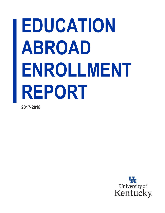# **EDUCATION ABROAD ENROLLMENT REPORT**

**2017-2018**

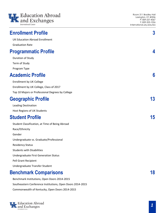

| <b>Enrollment Profile</b>                        | $\bf{3}$ |
|--------------------------------------------------|----------|
| <b>UK Education Abroad Enrollment</b>            |          |
| <b>Graduation Rate</b>                           |          |
| <b>Programmatic Profile</b>                      | 4        |
| Duration of Study                                |          |
| Term of Study                                    |          |
| Program Type                                     |          |
| <b>Academic Profile</b>                          | 6        |
| Enrollment by UK College                         |          |
| Enrollment by UK College, Class of 2017          |          |
| Top 10 Majors or Professional Degrees by College |          |
| <b>Geographic Profile</b>                        | 13       |
| <b>Leading Destination</b>                       |          |
| Host Regions of UK Students                      |          |
| <b>Student Profile</b>                           | 15       |
| Student Classification, at Time of Being Abroad  |          |
| Race/Ethnicity                                   |          |
| Gender                                           |          |
| Undergraduate vs. Graduate/Professional          |          |
| <b>Residency Status</b>                          |          |
| <b>Students with Disabilities</b>                |          |
| <b>Undergraduate First Generation Status</b>     |          |
| Pell Grant Recipient                             |          |
| Undergraduate Transfer Student                   |          |

# **[Benchmark Comparisons](#page-18-0) 18**

[Benchmark Institutions, Open Doors 2014-2015](#page-18-1) [Southeastern Conference Institutions, Open Doors 2014-2015](#page-19-0) [Commonwealth of Kentucky, Open Doors 2014-2015](#page-20-0)

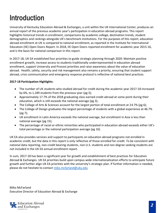# **Introduction**

University of Kentucky Education Abroad & Exchanges, a unit within the UK International Center, produces an annual report of the previous academic year's participation in education abroad programs. This report highlights historical trends in enrollment, comparisons by academic college, destination trends, student demographics and rankings alongside UK's benchmark institutions. For the purposes of this report, education abroad enrollment at UK is compared to national enrollment, as reported in the Institute for International Education (IIE) Open Doors Report. In 2018, IIE Open Doors reported enrollment for academic year 2015-16, and is the basis for national comparison in this report.

In 2017-18, UK EA established four priorities to guide strategic planning through 2020: Maintain positive enrollment growth, increase access to students traditionally underrepresented in education abroad enrollment, support University and Provost priorities and raise awareness about the value of education abroad. Health, safety, security and risk management also remains a priority, ensuring that student support abroad, crisis communication and emergency response protocol is reflective of national best practices.

#### **2017-18 Participation Highlights**:

- The number of UK students who studied abroad for credit during the academic year 2017-18 increased by 6%, to 1,189 students from the previous year (pg 3);
- Approximately 17.7% of the 2018 graduating class earned credit abroad at some point during their education, which is still exceeds the national average (pg 3);
- The College of Arts & Sciences account for the largest portion of total enrollment at 24.7% (pg 6);
- The College of Design graduates the largest percentage of students with a global experience at 46.7% (pg 7);
- UK enrollment in Latin America exceeds the national average, but enrollment in Asia is less than national average (pg 15);
- The percentage of racial or ethnic minorities who participated in education abroad exceeds either UK's total percentage or the national participation average (pg 16).

UK EA also provides services and support to participants on education abroad programs not enrolled in academic credit, but the data in this report is only reflective of those enrolled for-credit. To be consistent with national data reporting, non-credit bearing students, non-U.S. students and non-degree seeking students are not included in the UK EA annual enrollment report.

In sum, 2017-18 has been a significant year for growth and establishment of best practices for Education Abroad & Exchanges. UK EA priorities build upon campus-wide internationalization efforts to anticipate future growth and further align UK EA priorities with the university's strategic plan. If further information is needed, please do not hesitate to contact miko.mcfarland@uky.edu

Miko McFarland Executive Director of Education Abroad & Exchange

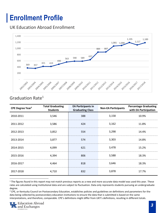# <span id="page-3-0"></span>**Enrollment Profile**

## <span id="page-3-1"></span>UK Education Abroad Enrollment



#### <span id="page-3-2"></span>Graduation Rate<sup>1</sup>

| CPE Degree Year <sup>2</sup> | <b>Total Graduating</b><br><b>Students</b> | <b>EA Participants in</b><br><b>Graduating Class</b> | <b>Non-EA Participants</b> | <b>Percentage Graduating</b><br>with EA Participation |
|------------------------------|--------------------------------------------|------------------------------------------------------|----------------------------|-------------------------------------------------------|
| 2010-2011                    | 3,546                                      | 388                                                  | 3,158                      | 10.9%                                                 |
| 2011-2012                    | 3,586                                      | 424                                                  | 3,162                      | 11.8%                                                 |
| 2012-2013                    | 3,852                                      | 554                                                  | 3,298                      | 14.4%                                                 |
| 2013-2014                    | 3,877                                      | 574                                                  | 3,303                      | 14.8%                                                 |
| 2014-2015                    | 4,099                                      | 621                                                  | 3,478                      | 15.2%                                                 |
| 2015-2016                    | 4,394                                      | 806                                                  | 3,588                      | 18.3%                                                 |
| 2016-2017                    | 4,464                                      | 818                                                  | 3,646                      | 18.3%                                                 |
| 2017-2018                    | 4,710                                      | 832                                                  | 3,878                      | 17.7%                                                 |

 $1$  The figures found in this report may not match previous reports as a new and more accurate data model was used this year. These rates are calculated using Institutional data and are subject to fluctuation. Data only represents students pursuing an undergraduate degree.

<sup>&</sup>lt;sup>2</sup> CPE, or Kentucky Council on Postsecondary Education, establishes policies and guidelines on definitions and parameters for the data being collected by postsecondary education institutions to ensure the data that is submitted is based on the same interpretations, and therefore, comparable. CPE's definitions might differ from UKY's definitions, resulting in different totals.



 $\overline{\phantom{a}}$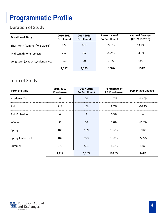# <span id="page-4-0"></span>**Programmatic Profile**

# <span id="page-4-1"></span>Duration of Study

| <b>Duration of Study</b>           | 2016-2017<br><b>Enrollment</b> | 2017-2018<br><b>Enrollment</b> | Percentage of<br><b>EA Enrollment</b> | <b>National Averages</b><br>(IIE, 2015-2016) |
|------------------------------------|--------------------------------|--------------------------------|---------------------------------------|----------------------------------------------|
| Short-term (summer/0-8 weeks)      | 827                            | 867                            | 72.9%                                 | 63.2%                                        |
| Mid-Length (one semester)          | 267                            | 302                            | 25.4%                                 | 34.5%                                        |
| Long-term (academic/calendar year) | 23                             | 20                             | 1.7%                                  | 2.4%                                         |
|                                    | 1,117                          | 1,189                          | 100%                                  | 100%                                         |

# <span id="page-4-2"></span>Term of Study

| <b>Term of Study</b> | 2016-2017<br><b>Enrollment</b> | 2017-2018<br><b>EA Enrollment</b> | Percentage of<br><b>EA Enrollment</b> | <b>Percentage Change</b> |
|----------------------|--------------------------------|-----------------------------------|---------------------------------------|--------------------------|
| Academic Year        | 23                             | 20                                | 1.7%                                  | $-13.0%$                 |
| Fall                 | 115                            | 103                               | 8.7%                                  | $-10.4%$                 |
| Fall Embedded        | 0                              | 3                                 | 0.3%                                  | $\qquad \qquad -$        |
| Winter               | 36                             | 60                                | 5.0%                                  | 66.7%                    |
| Spring               | 186                            | 199                               | 16.7%                                 | 7.0%                     |
| Spring Embedded      | 182                            | 223                               | 18.8%                                 | 22.5%                    |
| Summer               | 575                            | 581                               | 48.9%                                 | 1.0%                     |
|                      | 1,117                          | 1,189                             | 100.0%                                | 6.4%                     |

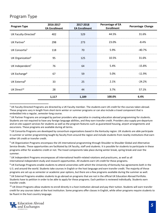## <span id="page-5-0"></span>Program Type

 $\overline{\phantom{a}}$ 

| <b>Program Type</b>              | 2016-2017<br><b>EA Enrollment</b> | 2017-2018<br><b>EA Enrollment</b> | Percentage of EA<br><b>Enrollment</b> | <b>Percentage Change</b> |
|----------------------------------|-----------------------------------|-----------------------------------|---------------------------------------|--------------------------|
| UK Faculty-Directed <sup>3</sup> | 402                               | 529                               | 44.5%                                 | 31.6%                    |
| UK Partner <sup>4</sup>          | 298                               | 273                               | 23.0%                                 | $-8.4%$                  |
| UK Consortia <sup>5</sup>        | 118                               | 70                                | 5.9%                                  | $-40.7%$                 |
| UK Organization <sup>6</sup>     | 95                                | 125                               | 10.5%                                 | 31.6%                    |
| UK Independent <sup>7</sup>      | 76                                | 64                                | 5.4%                                  | $-15.8%$                 |
| UK Exchange <sup>8</sup>         | 67                                | 59                                | 5.0%                                  | $-11.9%$                 |
| UK External <sup>9</sup>         | 33                                | 25                                | 2.1%                                  | $-24.2%$                 |
| UK Direct <sup>10</sup>          | 28                                | 44                                | 3.7%                                  | 57.1%                    |
|                                  | 1,117                             | 1,189                             | 100.0%                                | 6.4%                     |

<sup>&</sup>lt;sup>3</sup> UK Faculty-Directed Programs are directed by a UK Faculty member. The students earn UK credit for the courses taken abroad. These programs vary in length from short-term winter or summer programs or can also include a travel component that is embedded into a regular, semester-long course.

<sup>5</sup> UK Consortia Programs are developed by consortium organizations based in the Kentucky region. UK students are able participate in summer or winter programming taught by faculty from around the region and include students from nearby institutions that earn either UK credit or transfer credit.

<sup>6</sup> UK Organization Programs encompass the UK international programming through Shoulder to Shoulder Global and Alternative Service Breaks. These opportunities are facilitated by UK faculty, staff and students. It is possible for students to participate in these programs either for academic credit or not. The travel components take place during winter break, spring break and over the summer.

<sup>7</sup> UK Independent Programs encompasses all international health-related rotations and practicums, as well as all international independent study and research opportunities. All students earn UK credit for these programs.

<sup>8</sup> UK Exchange Programs enable students to attend universities with which the University of Kentucky has agreements both in the U.S. and around the world. Students take courses in English or the host language and earn transfer credit. The majority of these programs are set-up as semester or academic year options, but there are a few programs available during the summer as well.

<sup>9</sup> UK External Programs enables students to go abroad on programs that are not in the official UK Education Abroad Portfolio. Students have to petition in order to be able to apply for these programs. Each petition is reviewed individually. Students earn transfer credit.

<sup>10</sup> UK Direct Programs allow students to enroll directly in a host institution abroad and pay their tuition. Students will earn transfer credit for any courses taken at the host institution. Some programs offer classes in English, while other programs require students to be fluent in the host country language.



<sup>4</sup> UK Partner Programs are arranged by partner providers who specialize in creating education abroad programming for students. Students are not required to have any foreign language abilities, and they earn transfer credit. Providers also supply pre-departure and on-site support services for students as well as the program features such as guaranteed housing, airport arrangements and excursions. These programs are available during all terms.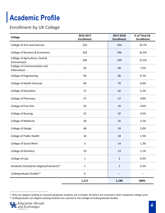# <span id="page-6-0"></span>**Academic Profile**

# <span id="page-6-1"></span>Enrollment by UK College

| <b>College</b>                                      | 2016-2017<br><b>Enrollment</b> | 2017-2018<br><b>Enrollment</b> | % of Total EA<br><b>Enrollment</b> |
|-----------------------------------------------------|--------------------------------|--------------------------------|------------------------------------|
| <b>College of Arts and Sciences</b>                 | 252                            | 294                            | 24.7%                              |
| College of Business & Economics                     | 163                            | 196                            | 16.5%                              |
| College of Agriculture, Food &<br>Environment       | 166                            | 149                            | 12.5%                              |
| College of Communication and<br>Information         | 92                             | 89                             | 7.5%                               |
| College of Engineering                              | 93                             | 80                             | 6.7%                               |
| <b>College of Health Sciences</b>                   | 69                             | 79                             | 6.6%                               |
| College of Education                                | 72                             | 62                             | 5.2%                               |
| College of Pharmacy                                 | 27                             | 57                             | 4.8%                               |
| College of Fine Arts                                | 32                             | 43                             | 3.6%                               |
| <b>College of Nursing</b>                           | 31                             | 42                             | 3.5%                               |
| College of Medicine                                 | 34                             | 25                             | 2.1%                               |
| College of Design                                   | 48                             | 24                             | 2.0%                               |
| College of Public Health                            | 16                             | 18                             | 1.5%                               |
| College of Social Work                              | 3                              | 14                             | 1.2%                               |
| College of Dentistry                                | 10                             | 13                             | 1.1%                               |
| College of Law                                      | $\mathbf{1}$                   | $\overline{2}$                 | 0.2%                               |
| Graduate School(non-degree/transient) <sup>11</sup> | $\mathbf{1}$                   | $\overline{2}$                 | 0.2%                               |
| Undergraduate Studies <sup>12</sup>                 | 6                              |                                |                                    |
|                                                     | 1,117                          | 1,189                          | 100%                               |

<sup>&</sup>lt;sup>11</sup> Only non-degree seeking or transient graduate students are included. All others are counted in their respective college units. <sup>12</sup> Undergraduate non-degree seeking students are counted in the College of Undergraduate Studies.

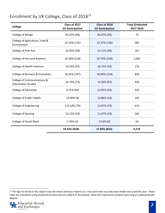# <span id="page-7-0"></span>Enrollment by UK College, Class of 2018<sup>13</sup>

| <b>College</b>                                            | Class of 2017<br><b>EA Participation</b> | Class of 2018<br><b>EA Participation</b> | <b>Total Graduated</b><br>2017-2018 |
|-----------------------------------------------------------|------------------------------------------|------------------------------------------|-------------------------------------|
| College of Design                                         | 45.57% (36)                              | 46.67% (35)                              | 75                                  |
| College of Agriculture, Food &<br>Environment             | 22.22% (132)                             | 23.17% (136)                             | 587                                 |
| College of Fine Arts                                      | 22.95% (28)                              | 21.12% (34)                              | 161                                 |
| <b>College of Arts and Sciences</b>                       | 20.38% (218)                             | 20.70% (220)                             | 1,063                               |
| <b>College of Health Sciences</b>                         | 22.29% (37)                              | 18.75% (33)                              | 176                                 |
| College of Business & Economics                           | 20.25% (147)                             | 18.58% (154)                             | 829                                 |
| College of Communications &<br><b>Information Studies</b> | 16.70% (79)                              | 15.26% (65)                              | 426                                 |
| College of Education                                      | $9.71\%$ (43)                            | 13.95% (59)                              | 423                                 |
| College of Public Health                                  | 15.00% (9)                               | 13.86% (14)                              | 101                                 |
| <b>College of Engineering</b>                             | 123.10% (79)                             | 12.07% (74)                              | 613                                 |
| <b>College of Nursing</b>                                 | 13.12% (29)                              | 11.07% (29)                              | 262                                 |
| <b>College of Social Work</b>                             | $4.76\%$ (3)                             | $9.52\%$ (6)                             | 63                                  |
|                                                           | 18.32% (818)                             | 17.66% (832)                             | 4,710                               |

 $\overline{\phantom{a}}$ <sup>13</sup> The figures found in this report may not match previous reports as a new and more accurate data model was used this year. These rates are calculated using Institutional data and are subject to fluctuation. Data only represents students pursuing an undergraduate degree.

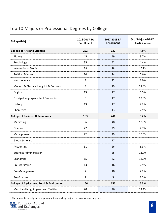# <span id="page-8-0"></span>Top 10 Majors or Professional Degrees by College

| College/Major <sup>14</sup>                           | 2016-2017 EA<br><b>Enrollment</b> | 2017-2018 EA<br><b>Enrollment</b> | % of Major with EA<br>Participation |
|-------------------------------------------------------|-----------------------------------|-----------------------------------|-------------------------------------|
| <b>College of Arts and Sciences</b>                   | 252                               | 332                               | 4.9%                                |
| Biology                                               | 45                                | 59                                | 3.7%                                |
| Psychology                                            | 35                                | 42                                | 4.4%                                |
| <b>International Studies</b>                          | 28                                | 28                                | 16.9%                               |
| <b>Political Science</b>                              | 20                                | 24                                | 5.6%                                |
| Neuroscience                                          | $\overline{a}$                    | 22                                | 8.0%                                |
| Modern & Classical Lang, Lit & Cultures               | 3                                 | 19                                | 21.3%                               |
| English                                               | 13                                | 17                                | 6.5%                                |
| Foreign Languages & Int'l Economics                   | 9                                 | 17                                | 23.9%                               |
| History                                               | 13                                | 17                                | 7.2%                                |
| Chemistry                                             | 8                                 | 13                                | 2.9%                                |
| <b>College of Business &amp; Economics</b>            | 163                               | 241                               | 6.2%                                |
| Marketing                                             | 36                                | 48                                | 12.8%                               |
| Finance                                               | 27                                | 29                                | 7.7%                                |
| Management                                            | 22                                | 29                                | 10.0%                               |
| <b>Global Scholars</b>                                | $\overline{\phantom{a}}$          | 27                                | $\overline{\phantom{a}}$            |
| Accounting                                            | 31                                | 26                                | 6.3%                                |
| <b>Business Administration</b>                        | --                                | 25                                | 11.7%                               |
| Economics                                             | 15                                | 22                                | 13.6%                               |
| Pre-Marketing                                         | 13                                | 16                                | 2.9%                                |
| Pre-Management                                        | $\overline{7}$                    | 10                                | 2.2%                                |
| Pre-Finance                                           | $\overline{2}$                    | 5                                 | 1.3%                                |
| <b>College of Agriculture, Food &amp; Environment</b> | 166                               | 156                               | 5.3%                                |
| Merchandising, Apparel and Textiles                   | 20                                | 26                                | 14.1%                               |

<sup>14</sup> These numbers only include primary & secondary majors or professional degrees.

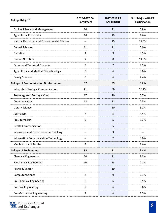| College/Major <sup>14</sup>                       | 2016-2017 EA<br><b>Enrollment</b> | 2017-2018 EA<br><b>Enrollment</b> | % of Major with EA<br>Participation |
|---------------------------------------------------|-----------------------------------|-----------------------------------|-------------------------------------|
| <b>Equine Science and Management</b>              | 10                                | 21                                | 6.8%                                |
| <b>Agricultural Economics</b>                     | 16                                | 19                                | 7.6%                                |
| Natural Resources and Environmental Science       | --                                | 19                                | 17.0%                               |
| <b>Animal Sciences</b>                            | 11                                | 11                                | 3.0%                                |
| <b>Dietetics</b>                                  | 4                                 | 9                                 | 9.5%                                |
| <b>Human Nutrition</b>                            | 7                                 | 8                                 | 11.9%                               |
| <b>Career and Technical Education</b>             | 3                                 | 7                                 | 9.2%                                |
| Agricultural and Medical Biotechnology            | 5                                 | 6                                 | 3.0%                                |
| <b>Family Sciences</b>                            | 3                                 | 6                                 | 4.4%                                |
| <b>College of Communication &amp; Information</b> | 92                                | 99                                | 5.2%                                |
| Integrated Strategic Communication                | 41                                | 36                                | 13.4%                               |
| Pre-Integrated Strategic Com                      | 17                                | 20                                | 6.7%                                |
| Communication                                     | 18                                | 11                                | 2.5%                                |
| <b>Library Science</b>                            | $-$                               | 10                                | 5.2%                                |
| Journalism                                        | 7                                 | 5                                 | 4.4%                                |
| Pre-Journalism                                    | 2                                 | 5                                 | 5.3%                                |
| <b>Health Communication</b>                       | $-$                               | 5                                 |                                     |
| Innovation and Entrepreneurial Thinking           |                                   | 3                                 |                                     |
| <b>Information Communication Technology</b>       | --                                | $\overline{2}$                    | 3.0%                                |
| <b>Media Arts and Studies</b>                     | 3                                 | $\mathbf{1}$                      | 1.6%                                |
| <b>College of Engineering</b>                     | 93                                | 91                                | 2.4%                                |
| <b>Chemical Engineering</b>                       | 20                                | 21                                | 8.3%                                |
| <b>Mechanical Engineering</b>                     | 10                                | 13                                | 2.2%                                |
| Power & Energy                                    | --                                | 10                                | --                                  |
| <b>Computer Science</b>                           | 4                                 | $\boldsymbol{9}$                  | 2.7%                                |
| Pre-Chemical Engineering                          | 9                                 | 6                                 | 3.5%                                |
| Pre-Civil Engineering                             | $\overline{2}$                    | 6                                 | 3.6%                                |
| Pre-Mechanical Engineering                        | 4                                 | 6                                 | 1.9%                                |

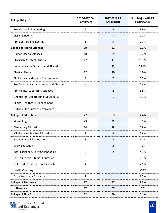| College/Major <sup>14</sup>                 | 2016-2017 EA<br><b>Enrollment</b> | 2017-2018 EA<br><b>Enrollment</b> | % of Major with EA<br>Participation |
|---------------------------------------------|-----------------------------------|-----------------------------------|-------------------------------------|
| Pre-Materials Engineering                   | 5                                 | $\overline{4}$                    | 8.9%                                |
| Civil Engineering                           | 4                                 | $\overline{3}$                    | 1.2%                                |
| <b>Pre-Electrical Engineering</b>           | 3                                 | $\overline{3}$                    | 2.7%                                |
| <b>College of Health Sciences</b>           | 69                                | 81                                | 6.2%                                |
| <b>Human Health Sciences</b>                | 18                                | 29                                | 10.3%                               |
| Physician Assistant Studies                 | 17                                | 17                                | 15.3%                               |
| <b>Communication Sciences and Disorders</b> | $-$                               | 11                                | 11.1%                               |
| Physical Therapy                            | 17                                | 10                                | 5.0%                                |
| Clinical Leadership and Management          | 3                                 | $\overline{7}$                    | 5.5%                                |
| Pre-Communication Sciences and Disorders    | $\overline{\phantom{a}}$          | $\overline{2}$                    | 2.4%                                |
| Pre-Medical Laboratory Sciences             | $\overline{\phantom{a}}$          | $\overline{2}$                    | 3.5%                                |
| Undeclared/Exploratory Studies in HS        |                                   | $\mathbf{1}$                      | 0.7%                                |
| Clinical Healthcare Management              | $-$                               | $\mathbf{1}$                      | $-$                                 |
| <b>Nutrition for Human Performance</b>      | $\qquad \qquad -$                 | $\mathbf{1}$                      | $-$                                 |
| <b>College of Education</b>                 | 72                                | 63                                | 2.4%                                |
| Kinesiology                                 | 23                                | 29                                | 3.3%                                |
| <b>Elementary Education</b>                 | 14                                | 18                                | 3.8%                                |
| Middle Level Teacher Education              | 9                                 | 4                                 | 3.8%                                |
| Sec Edu - English Education                 | 3                                 | $\overline{a}$                    | 6.7%                                |
| <b>STEM Education</b>                       | $\overline{\phantom{a}}$          | $\overline{2}$                    | 4.2%                                |
| Interdisciplinary Early Childhood Ed        | $\overline{7}$                    | $\overline{2}$                    | 4.3%                                |
| Sec Edu - Social Studies Education          | 6                                 | $\mathbf{1}$                      | 1.3%                                |
| Sp Ed - Moderate/Severe Disabilities        | $\overline{4}$                    | $\mathbf{1}$                      | 2.9%                                |
| <b>Health Coaching</b>                      | $\qquad \qquad -$                 | $\mathbf{1}$                      | >10%                                |
| Edu - Secondary Education                   | 1                                 | $\mathbf{1}$                      | 2.3%                                |
| <b>College of Pharmacy</b>                  | 27                                | 57                                | 8.5%                                |
| Pharmacy                                    | 27                                | 57                                | 10.0%                               |
| <b>College of Fine Arts</b>                 | 32                                | 50                                | 5.1%                                |

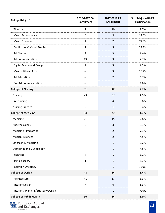| College/Major <sup>14</sup>         | 2016-2017 EA<br><b>Enrollment</b>     | 2017-2018 EA<br><b>Enrollment</b> | % of Major with EA<br>Participation |
|-------------------------------------|---------------------------------------|-----------------------------------|-------------------------------------|
| Theatre                             | $\overline{2}$                        | 10                                | 9.7%                                |
| <b>Music Performance</b>            | 6                                     | $\boldsymbol{9}$                  | 12.5%                               |
| <b>Music Education</b>              | $\overline{2}$                        | $\overline{7}$                    | 77.8%                               |
| Art History & Visual Studies        | 1                                     | 5                                 | 23.8%                               |
| Art Studio                          | $\overline{4}$                        | 5                                 | 4.4%                                |
| <b>Arts Administration</b>          | 13                                    | $\mathbf{3}$                      | 2.7%                                |
| Digital Media and Design            | $\overline{2}$                        | $\mathbf{3}$                      | 2.2%                                |
| Music - Liberal Arts                | $\overline{\phantom{a}}$              | $\overline{3}$                    | 10.7%                               |
| <b>Art Education</b>                | $\qquad \qquad -$                     | $\overline{2}$                    | 6.7%                                |
| <b>Pre-Arts Administration</b>      | $\hspace{0.05cm}$ – $\hspace{0.05cm}$ | $\mathbf{1}$                      | 1.8%                                |
| <b>College of Nursing</b>           | 31                                    | 42                                | 2.7%                                |
| <b>Nursing</b>                      | 23                                    | 37                                | 4.5%                                |
| Pre-Nursing                         | 6                                     | $\sqrt{4}$                        | 0.8%                                |
| <b>Nursing Practice</b>             | 2                                     | $\mathbf{1}$                      | 0.4%                                |
| <b>College of Medicine</b>          | 34                                    | 27                                | 1.7%                                |
| Medicine                            | 21                                    | 15                                | 2.8%                                |
| Anesthesiology                      | 3                                     | $\mathbf{3}$                      | 5.1%                                |
| <b>Medicine - Pediatrics</b>        | $\overline{\phantom{m}}$              | $\overline{2}$                    | 7.1%                                |
| <b>Medical Sciences</b>             | $\qquad \qquad -$                     | $\overline{2}$                    | 4.5%                                |
| <b>Emergency Medicine</b>           | --                                    | $1\,$                             | 3.2%                                |
| <b>Obstetrics and Gynecology</b>    | $\hspace{0.05cm} \dashv$              | $1\,$                             | 4.5%                                |
| Pediatrics                          | 4                                     | $\mathbf{1}$                      | 3.1%                                |
| <b>Plastic Surgery</b>              | $\mathbf{1}$                          | $\mathbf{1}$                      | 8.3%                                |
| <b>Radiation Oncology</b>           | $\qquad \qquad -$                     | $\mathbf{1}$                      | >10%                                |
| <b>College of Design</b>            | 48                                    | 24                                | 5.4%                                |
| Architecture                        | 41                                    | 17                                | 6.3%                                |
| <b>Interior Design</b>              | $\overline{7}$                        | $\boldsymbol{6}$                  | 5.3%                                |
| Interiors: Planning/Strategy/Design | $\overline{\phantom{m}}$              | $\mathbf{1}$                      | >10%                                |
| <b>College of Public Health</b>     | 16                                    | 24                                | 5.0%                                |

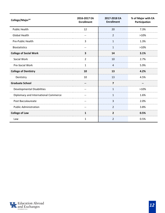| College/Major <sup>14</sup>          | 2016-2017 EA<br><b>Enrollment</b> | 2017-2018 EA<br><b>Enrollment</b> | % of Major with EA<br>Participation |
|--------------------------------------|-----------------------------------|-----------------------------------|-------------------------------------|
| <b>Public Health</b>                 | 12                                | 20                                | 7.3%                                |
| <b>Global Health</b>                 | $\overline{\phantom{a}}$          | $\overline{2}$                    | >10%                                |
| Pre-Public Health                    | 3                                 | $\mathbf{1}$                      | 1.3%                                |
| <b>Biostatistics</b>                 | $\hspace{0.05cm} \dashrightarrow$ | $\mathbf{1}$                      | >10%                                |
| <b>College of Social Work</b>        | 3                                 | 14                                | 3.1%                                |
| Social Work                          | 2                                 | 10                                | 2.7%                                |
| Pre-Social Work                      | $\mathbf{1}$                      | 4                                 | 5.9%                                |
| <b>College of Dentistry</b>          | 10                                | 13                                | 4.2%                                |
| Dentistry                            | 10                                | 13                                | 4.5%                                |
| <b>Graduate School</b>               | $- -$                             | $\overline{7}$                    | --                                  |
| <b>Developmental Disabilities</b>    | $\hspace{0.05cm} \textbf{--}$     | $\mathbf{1}$                      | >10%                                |
| Diplomacy and International Commerce | $\overline{\phantom{a}}$          | $\mathbf{1}$                      | 1.6%                                |
| Post Baccalaureate                   | $\overline{\phantom{a}}$          | 3                                 | 2.0%                                |
| <b>Public Administration</b>         | $\overline{a}$                    | $\overline{2}$                    | 3.8%                                |
| <b>College of Law</b>                | $\mathbf{1}$                      | $\overline{2}$                    | 0.5%                                |
| Law                                  | 1                                 | $\overline{2}$                    | 0.5%                                |

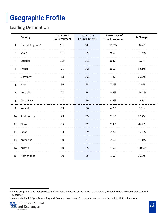# <span id="page-13-0"></span>**Geographic Profile**

#### <span id="page-13-1"></span>Leading Destination

|     | Country                      | 2016-2017<br><b>EA Enrollment</b> | 2017-2018<br><b>EA Enrollment<sup>15</sup></b> | Percentage of<br><b>Total Enrollment</b> | % Change |
|-----|------------------------------|-----------------------------------|------------------------------------------------|------------------------------------------|----------|
| 1.  | United Kingdom <sup>16</sup> | 163                               | 149                                            | 11.2%                                    | $-8.6%$  |
| 2.  | Spain                        | 154                               | 128                                            | 9.5%                                     | $-16.9%$ |
| 3.  | Ecuador                      | 109                               | 113                                            | 8.4%                                     | 3.7%     |
| 4.  | France                       | 71                                | 108                                            | 8.0%                                     | 52.1%    |
| 5.  | Germany                      | 83                                | 105                                            | 7.8%                                     | 26.5%    |
| 6.  | Italy                        | 96                                | 95                                             | 7.1%                                     | $-1.0%$  |
| 7.  | Australia                    | 27                                | 74                                             | 5.5%                                     | 174.1%   |
| 8.  | Costa Rica                   | 47                                | 56                                             | 4.2%                                     | 19.1%    |
| 9.  | Ireland                      | 53                                | 56                                             | 4.2%                                     | 5.7%     |
| 10. | South Africa                 | 29                                | 35                                             | 2.6%                                     | 20.7%    |
| 11. | China                        | 35                                | 32                                             | 2.4%                                     | $-8.6%$  |
| 12. | Japan                        | 33                                | 29                                             | 2.2%                                     | $-12.1%$ |
| 13. | Argentina                    | 30                                | 27                                             | 2.0%                                     | $-10.0%$ |
| 14. | Austria                      | 10                                | 25                                             | 1.9%                                     | 150.0%   |
| 15. | Netherlands                  | 20                                | 25                                             | 1.9%                                     | 25.0%    |

<sup>&</sup>lt;sup>16</sup> As reported in IIE Open Doors- England, Scotland, Wales and Northern Ireland are counted within United Kingdom.



 $\overline{\phantom{a}}$ 

<sup>&</sup>lt;sup>15</sup> Some programs have multiple destinations. For this section of the report, each country visited by such programs was counted separately.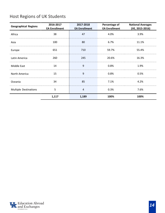# <span id="page-14-0"></span>Host Regions of UK Students

| <b>Geographical Regions</b>  | 2016-2017<br><b>EA Enrollment</b> | 2017-2018<br>Percentage of<br><b>EA Enrollment</b><br><b>EA Enrollment</b> |       | <b>National Averages</b><br>(IIE, 2015-2016) |  |
|------------------------------|-----------------------------------|----------------------------------------------------------------------------|-------|----------------------------------------------|--|
| Africa                       | 38                                | 47                                                                         | 4.0%  | 3.9%                                         |  |
| Asia                         | 100                               | 80<br>6.7%                                                                 |       | 11.1%                                        |  |
| Europe                       | 651                               | 710                                                                        | 59.7% |                                              |  |
| Latin America                | 260                               | 245                                                                        | 20.6% | 16.3%                                        |  |
| Middle East                  | 14                                | 9                                                                          | 0.8%  | 1.9%                                         |  |
| North America                | 15                                | 9                                                                          | 0.8%  | 0.5%                                         |  |
| Oceania                      | 34                                | 85                                                                         | 7.1%  | 4.2%                                         |  |
| <b>Multiple Destinations</b> | 5<br>$\overline{4}$               |                                                                            | 0.3%  | 7.6%                                         |  |
|                              | 1,117                             | 1,189                                                                      | 100%  | 100%                                         |  |

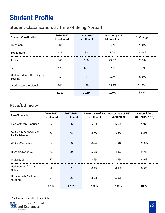# <span id="page-15-0"></span>**Student Profile**

# <span id="page-15-1"></span>Student Classification, at Time of Being Abroad

| <b>Student Classification<sup>17</sup></b> | 2016-2017<br><b>Enrollment</b> | Percentage of<br>2017-2018<br><b>EA Enrollment</b><br><b>Enrollment</b> |       | % Change  |  |
|--------------------------------------------|--------------------------------|-------------------------------------------------------------------------|-------|-----------|--|
| Freshman                                   | 10                             | 3<br>0.3%                                                               |       | $-70.0\%$ |  |
| Sophomore                                  | 121                            | 92                                                                      | 7.7%  | $-24.0%$  |  |
| Junior                                     | 365                            | 280                                                                     | 23.5% | $-23.3%$  |  |
| Senior                                     | 472                            | 621<br>52.2%                                                            |       | 31.6%     |  |
| Undergraduate-Non-Degree<br>Seeking        | 5                              | 4                                                                       | 0.3%  | $-20.0%$  |  |
| Graduate/Professional                      | 144                            | 189                                                                     | 15.9% | 31.3%     |  |
|                                            | 1,117                          | 1,189                                                                   | 100%  | 6.4%      |  |

## <span id="page-15-2"></span>Race/Ethnicity

| Race/Ethnicity                             | 2016-2017<br><b>Enrollment</b> | 2017-2018<br><b>Enrollment</b> | Percentage of EA<br><b>Enrollment</b> | Percentage of UK<br><b>Enrollment</b> | <b>National Avg.</b><br>(IIE, 2015-2016) |
|--------------------------------------------|--------------------------------|--------------------------------|---------------------------------------|---------------------------------------|------------------------------------------|
| Black/African-American                     | 62                             | 66                             | 5.6%                                  | 6.9%                                  | 5.9%                                     |
| Asian/Native Hawaiian/<br>Pacific Islander | 44                             | 48                             | 4.0%                                  | 3.3%                                  | 8.4%                                     |
| White / Caucasian                          | 865                            | 934                            | 78.6%                                 | 73.8%                                 | 71.6%                                    |
| Hispanic/Latino(a)                         | 71                             | 60                             | 5.0%                                  | 4.3%                                  | 9.7%                                     |
| Multiracial                                | 37                             | 43                             | 3.6%                                  | 3.1%                                  | 3.9%                                     |
| Native Amer./ Alaskan<br><b>Native</b>     | 4                              | $\overline{2}$                 | 0.2%                                  | 0.1%                                  | 0.5%                                     |
| Unreported/Declined to<br>respond          | 34                             | 36                             | 3.0%                                  | 5.3%                                  |                                          |
|                                            | 1,117                          | 1,189                          | 100%                                  | 100%                                  | 100%                                     |

<sup>17</sup> Students are classified by credit hours.

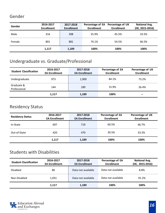## <span id="page-16-0"></span>Gender

| Gender | 2016-2017<br><b>Enrollment</b> | 2017-2018<br><b>Enrollment</b> | <b>Enrollment</b> | Percentage of EA Percentage of UK<br><b>Enrollment</b> | <b>National Avg.</b><br>(IIE, 2015-2016) |
|--------|--------------------------------|--------------------------------|-------------------|--------------------------------------------------------|------------------------------------------|
| Male   | 316                            | 308                            | 25.9%             | 45.5%                                                  | 33.5%                                    |
| Female | 801                            | 881                            | 74.1%             | 54.5%                                                  | 66.5%                                    |
|        | 1,117                          | 1,189                          | 100%              | 100%                                                   | 100%                                     |

# <span id="page-16-1"></span>Undergraduate vs. Graduate/Professional

| 2016-2017<br><b>Student Classification</b><br><b>EA Enrollment</b> |              | 2017-2018<br><b>EA Enrollment</b> | Percentage of EA<br><b>Enrollment</b> | Percentage of UK<br><b>Enrollment</b> |  |
|--------------------------------------------------------------------|--------------|-----------------------------------|---------------------------------------|---------------------------------------|--|
| Undergraduate                                                      | 973<br>1,000 |                                   | 84.1%                                 | 73.2%                                 |  |
| Graduate &<br>Professional                                         | 144          | 189                               | 15.9%                                 | 26.4%                                 |  |
|                                                                    | 1,117        | 1,189                             | 100%                                  | --                                    |  |

## <span id="page-16-2"></span>Residency Status

| <b>Residency Status</b> | 2016-2017<br><b>EA Enrollment</b> | 2017-2018<br><b>EA Enrollment</b> | Percentage of EA<br><b>Enrollment</b> | Percentage of UK<br><b>Enrollment</b> |
|-------------------------|-----------------------------------|-----------------------------------|---------------------------------------|---------------------------------------|
| 719<br>697<br>In-State  |                                   |                                   | 60.5%                                 | 66.7%                                 |
| Out-of-State            | 420                               | 470                               | 39.5%                                 | 33.3%                                 |
|                         | 1,117                             | 1,189                             | 100%                                  | 100%                                  |

# <span id="page-16-3"></span>Students with Disabilities

| <b>Student Classification</b> | 2016-2017<br><b>EA Enrollment</b> | 2017-2018<br><b>EA Enrollment</b> | Percentage of EA<br><b>Enrollment</b> | <b>National Avg.</b><br>(IIE, 2015-2016) |
|-------------------------------|-----------------------------------|-----------------------------------|---------------------------------------|------------------------------------------|
| <b>Disabled</b><br>86         |                                   | Data not available                | Data not available                    | 8.8%                                     |
| Non-Disabled                  | Data not available<br>1,031       |                                   | Data not available                    | 91.2%                                    |
|                               | 1,117                             | 1,189                             | 100%                                  | 100%                                     |

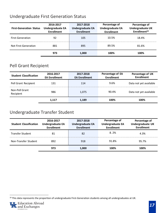## <span id="page-17-0"></span>Undergraduate First Generation Status

| <b>First-Generation Status</b> | 2016-2017<br><b>Undergraduate EA</b><br><b>Enrollment</b> | Percentage of<br>2017-2018<br><b>Undergraduate EA</b><br><b>Undergraduate EA</b><br><b>Enrollment</b><br><b>Enrollment</b> |       | Percentage of<br><b>Undergraduate UK</b><br>Enrollment <sup>18</sup> |  |
|--------------------------------|-----------------------------------------------------------|----------------------------------------------------------------------------------------------------------------------------|-------|----------------------------------------------------------------------|--|
| First-Generation               | 92                                                        | 105                                                                                                                        | 10.5% | 18.4%                                                                |  |
| Not First-Generation           | 881                                                       | 895                                                                                                                        | 89.5% | 81.6%                                                                |  |
|                                | 973                                                       | 1,000                                                                                                                      | 100%  | 100%                                                                 |  |

#### <span id="page-17-1"></span>Pell Grant Recipient

| <b>Student Classification</b> | 2016-2017<br><b>EA Enrollment</b> | 2017-2018<br><b>EA Enrollment</b> | Percentage of EA<br><b>Enrollment</b> | Percentage of UK<br><b>Enrollment</b> |
|-------------------------------|-----------------------------------|-----------------------------------|---------------------------------------|---------------------------------------|
| Pell Grant Recipient          | 114<br>131                        |                                   | 9.6%                                  | Data not yet available                |
| Non-Pell Grant<br>Recipient   | 986                               | 1,075                             | 90.4%                                 | Data not yet available                |
|                               | 1,117                             | 1,189                             | 100%                                  | 100%                                  |

# <span id="page-17-2"></span>Undergraduate Transfer Student

| <b>Student Classification</b> | 2016-2017<br><b>Undergraduate EA</b><br><b>Enrollment</b> | Percentage of<br>2017-2018<br><b>Undergraduate EA</b><br><b>Undergraduate EA</b><br><b>Enrollment</b><br><b>Enrollment</b> |       | Percentage of<br><b>Undergraduate UK</b><br><b>Enrollment</b> |  |
|-------------------------------|-----------------------------------------------------------|----------------------------------------------------------------------------------------------------------------------------|-------|---------------------------------------------------------------|--|
| <b>Transfer Student</b>       | 81                                                        | 82                                                                                                                         | 8.2%  | 4.3%                                                          |  |
| Non-Transfer Student          | 892                                                       | 918                                                                                                                        | 91.8% | 95.7%                                                         |  |
|                               | 973                                                       | 1,000                                                                                                                      | 100%  | 100%                                                          |  |

<sup>&</sup>lt;sup>18</sup> This data represents the proportion of undergraduate First-Generation students among all undergraduates at UK.

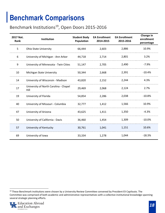# <span id="page-18-0"></span>**Benchmark Comparisons**

# <span id="page-18-1"></span>Benchmark Institutions<sup>19</sup>, Open Doors 2015-2016

| 2017 Nat.<br>Rank | Institution                                   | <b>Student Body</b><br><b>Population</b> | <b>EA Enrollment</b><br>2014-2015 | <b>EA Enrollment</b><br>2015-2016 | Change in<br>enrollment<br>percentage |
|-------------------|-----------------------------------------------|------------------------------------------|-----------------------------------|-----------------------------------|---------------------------------------|
| 5                 | <b>Ohio State University</b>                  | 66,444                                   | 2,603                             | 2,886                             | 10.9%                                 |
| 6                 | University of Michigan - Ann Arbor            | 44,718                                   | 2,714                             | 2,801                             | 3.2%                                  |
| 9                 | University of Minnesota - Twin Cities         | 51,147                                   | 2,705                             | 2,490                             | $-7.9%$                               |
| 10                | Michigan State University                     | 50,344                                   | 2,668                             | 2,391                             | $-10.4%$                              |
| 14                | University of Wisconsin - Madison             | 43,820                                   | 2,152                             | 2,244                             | 4.3%                                  |
| 17                | University of North Carolina - Chapel<br>Hill | 29,469                                   | 2,068                             | 2,124                             | 2.7%                                  |
| 19                | University of Florida                         | 54,854                                   | 2,286                             | 2,038                             | $-10.8%$                              |
| 40                | University of Missouri - Columbia             | 32,777                                   | 1,412                             | 1,566                             | 10.9%                                 |
| 47                | University of Arizona                         | 43,625                                   | 1,411                             | 1,350                             | $-4.3%$                               |
| 50                | University of California - Davis              | 36,460                                   | 1,454                             | 1,309                             | $-10.0%$                              |
| 57                | University of Kentucky                        | 30,761                                   | 1,041                             | 1,151                             | 10.6%                                 |
| 69                | University of Iowa                            | 33,334                                   | 1,278                             | 1,044                             | $-18.3%$                              |

<sup>&</sup>lt;sup>19</sup> These Benchmark institutions were chosen by a University Review Committee convened by President Eli Capilouto. The Committee was comprised of both academic and administrative representatives with a collective institutional knowledge spanning several strategic planning efforts.



 $\overline{\phantom{a}}$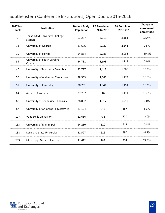# <span id="page-19-0"></span>Southeastern Conference Institutions, Open Doors 2015-2016

| 2017 Nat.<br>Rank | Institution                                | <b>Student Body</b><br><b>Population</b> | <b>EA Enrollment</b><br>2014-2015 | <b>EA Enrollment</b><br>2015-2016 | Change in<br>enrollment<br>percentage |
|-------------------|--------------------------------------------|------------------------------------------|-----------------------------------|-----------------------------------|---------------------------------------|
| $\overline{2}$    | Texas A&M University - College<br>Station  | 63,287                                   | 3,219                             | 3,683                             | 14.4%                                 |
| 13                | University of Georgia                      | 37,606                                   | 2,237                             | 2,248                             | 0.5%                                  |
| 19                | University of Florida                      | 54,854                                   | 2,286                             | 2,038                             | $-10.8%$                              |
| 34                | University of South Carolina -<br>Columbia | 34,731                                   | 1,698                             | 1,713                             | 0.9%                                  |
| 40                | University of Missouri - Columbia          | 32,777                                   | 1,412                             | 1,566                             | 10.9%                                 |
| 56                | University of Alabama - Tuscaloosa         | 38,563                                   | 1,063                             | 1,172                             | 10.3%                                 |
| 57                | University of Kentucky                     | 30,761                                   | 1,041                             | 1,151                             | 10.6%                                 |
| 64                | <b>Auburn University</b>                   | 27,287                                   | 987                               | 1,114                             | 12.9%                                 |
| 68                | University of Tennessee - Knoxville        | 28,052                                   | 1,017                             | 1,048                             | 3.0%                                  |
| 87                | University of Arkansas - Fayetteville      | 27,194                                   | 842                               | 887                               | 5.3%                                  |
| 107               | Vanderbilt University                      | 12,686                                   | 735                               | 720                               | $-2.0%$                               |
| 133               | University of Mississippi                  | 24,250                                   | 610                               | 615                               | 0.8%                                  |
| 138               | Louisiana State University                 | 31,527                                   | 616                               | 590                               | $-4.2%$                               |
| 245               | Mississippi State University               | 21,622                                   | 288                               | 354                               | 22.9%                                 |